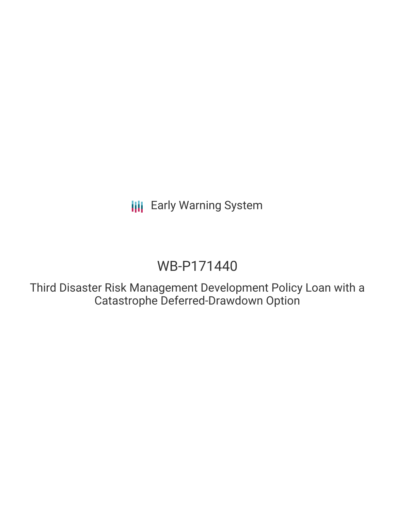**III** Early Warning System

# WB-P171440

Third Disaster Risk Management Development Policy Loan with a Catastrophe Deferred-Drawdown Option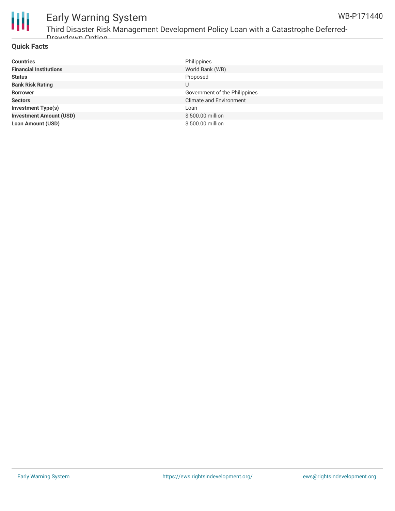

### Early Warning System WB-P171440

### **Quick Facts**

| <b>Countries</b>               | Philippines                    |
|--------------------------------|--------------------------------|
| <b>Financial Institutions</b>  | World Bank (WB)                |
| <b>Status</b>                  | Proposed                       |
| <b>Bank Risk Rating</b>        | U                              |
| <b>Borrower</b>                | Government of the Philippines  |
| <b>Sectors</b>                 | <b>Climate and Environment</b> |
| <b>Investment Type(s)</b>      | Loan                           |
| <b>Investment Amount (USD)</b> | \$500.00 million               |
| <b>Loan Amount (USD)</b>       | \$500,00 million               |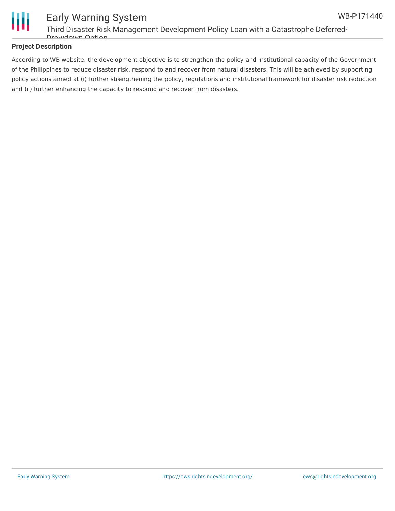

# Early Warning System Third Disaster Risk Management Development Policy Loan with a Catastrophe Deferred-Drawdown Option

### **Project Description**

According to WB website, the development objective is to strengthen the policy and institutional capacity of the Government of the Philippines to reduce disaster risk, respond to and recover from natural disasters. This will be achieved by supporting policy actions aimed at (i) further strengthening the policy, regulations and institutional framework for disaster risk reduction and (ii) further enhancing the capacity to respond and recover from disasters.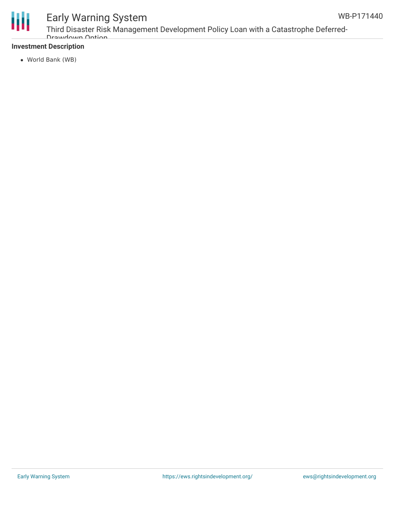

# Early Warning System

Third Disaster Risk Management Development Policy Loan with a Catastrophe Deferred-Drawdown Ontion

## **Investment Description**

World Bank (WB)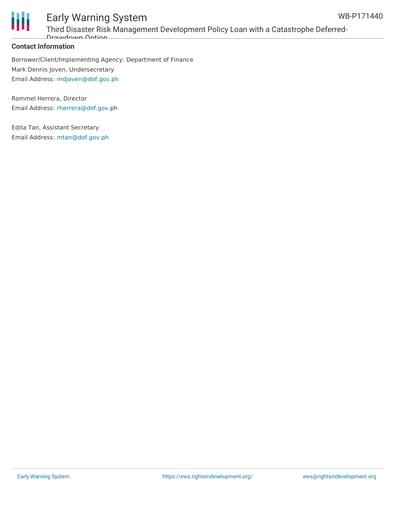

# Early Warning System Third Disaster Risk Management Development Policy Loan with a Catastrophe Deferred-Drawdown Option

### **Contact Information**

Borrower/Client/Implementing Agency: Department of Finance Mark Dennis Joven, Undersecretary Email Address: [mdjoven@dof.gov.ph](mailto:mdjoven@dof.gov.ph)

Rommel Herrera, Director Email Address: [rherrera@dof.gov](mailto:rherrera@dof.gov/ph).ph

Edita Tan, Assistant Secretary Email Address: [mtan@dof.gov.ph](mailto:mtan@dof.gov.ph)